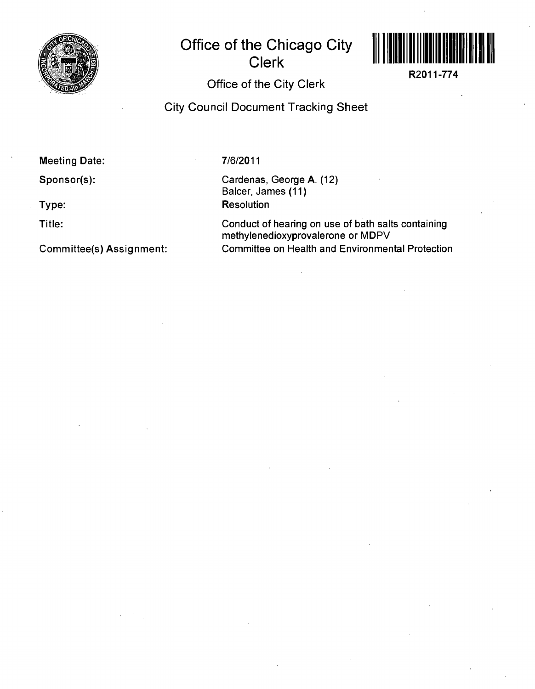

## **Office of the Chicago City Clerk**



**R2011-774** 

## **Office of the City Clerk**

**City Council Document Tracking Sheet** 

**Meeting Date:** 

**Sponsor(s):** 

**Type:** 

**Title:** 

**Committee(s) Assignment:** 

7/6/2011

Cardenas, George A. (12) Balcer, James (11) **Resolution** 

Conduct of hearing on use of bath salts containing methylenedioxyprovalerone or MDPV Committee on Health and Environmental Protection